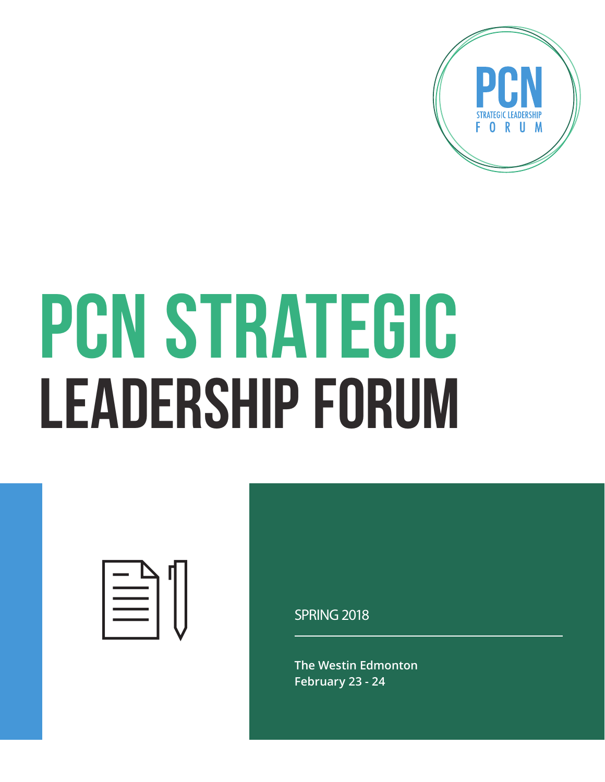

# PCN STRATEGIC LEADERSHIP FORUM



SPRING 2018

**The Westin Edmonton February 23 - 24**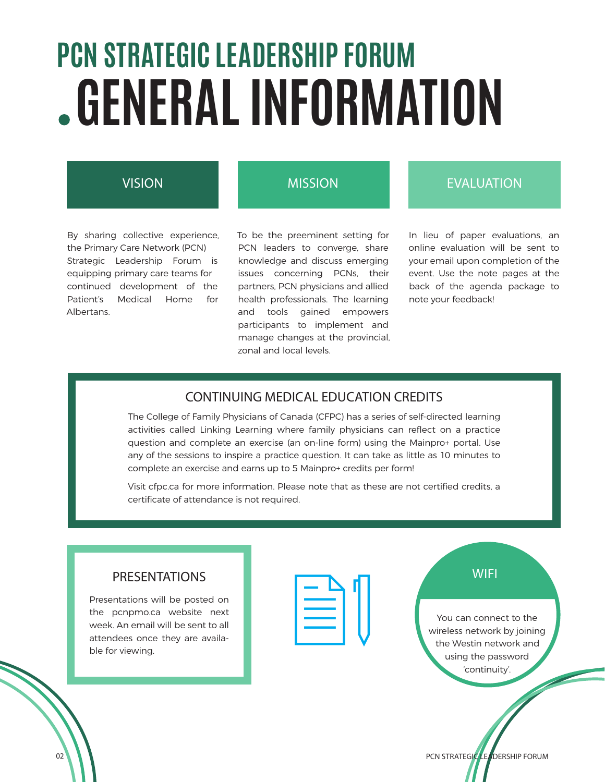### **GENERAL INFORMATION PCN STRATEGIC LEADERSHIP FORUM**

#### VISION

By sharing collective experience, the Primary Care Network (PCN) Strategic Leadership Forum is equipping primary care teams for continued development of the Patient's Medical Home for Albertans.

#### MISSION

To be the preeminent setting for PCN leaders to converge, share knowledge and discuss emerging issues concerning PCNs, their partners, PCN physicians and allied health professionals. The learning and tools gained empowers participants to implement and manage changes at the provincial, zonal and local levels.

#### EVALUATION

In lieu of paper evaluations, an online evaluation will be sent to your email upon completion of the event. Use the note pages at the back of the agenda package to note your feedback!

#### CONTINUING MEDICAL EDUCATION CREDITS

The College of Family Physicians of Canada (CFPC) has a series of self-directed learning activities called Linking Learning where family physicians can reflect on a practice question and complete an exercise (an on-line form) using the Mainpro+ portal. Use any of the sessions to inspire a practice question. It can take as little as 10 minutes to complete an exercise and earns up to 5 Mainpro+ credits per form!

Visit cfpc.ca for more information. Please note that as these are not certified credits, a certificate of attendance is not required.

Presentations will be posted on the pcnpmo.ca website next week. An email will be sent to all attendees once they are available for viewing.

| <b>PRESENTATIONS</b>         | WIFI             |
|------------------------------|------------------|
| ntations will be posted on   |                  |
| pcnpmo.ca website next       | You can conne    |
| An email will be sent to all | wireless networl |
| dees once they are availa-   |                  |
|                              | the Westin net   |

You can connect to the wireless network by joining the Westin network and using the password 'continuity'.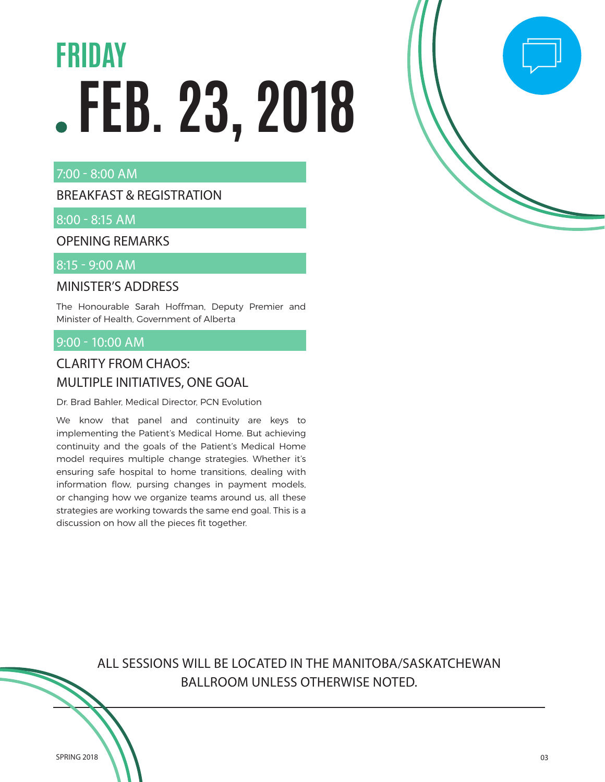## **FEB. 23, 2018 FRIDAY** - The second of  $\begin{bmatrix} 1 & 0 & 0 \\ 0 & 1 & 0 \\ 0 & 0 & 0 \end{bmatrix}$

#### 7:00 - 8:00 AM

#### BREAKFAST & REGISTRATION

#### 8:00 - 8:15 AM

OPENING REMARKS

#### 8:15 - 9:00 AM

#### MINISTER'S ADDRESS

The Honourable Sarah Hoffman, Deputy Premier and Minister of Health, Government of Alberta

#### 9:00 - 10:00 AM

#### CLARITY FROM CHAOS: MULTIPLE INITIATIVES, ONE GOAL

Dr. Brad Bahler, Medical Director, PCN Evolution

We know that panel and continuity are keys to implementing the Patient's Medical Home. But achieving continuity and the goals of the Patient's Medical Home model requires multiple change strategies. Whether it's ensuring safe hospital to home transitions, dealing with information flow, pursing changes in payment models, or changing how we organize teams around us, all these strategies are working towards the same end goal. This is a discussion on how all the pieces fit together.

> ALL SESSIONS WILL BE LOCATED IN THE MANITOBA/SASKATCHEWAN BALLROOM UNLESS OTHERWISE NOTED.

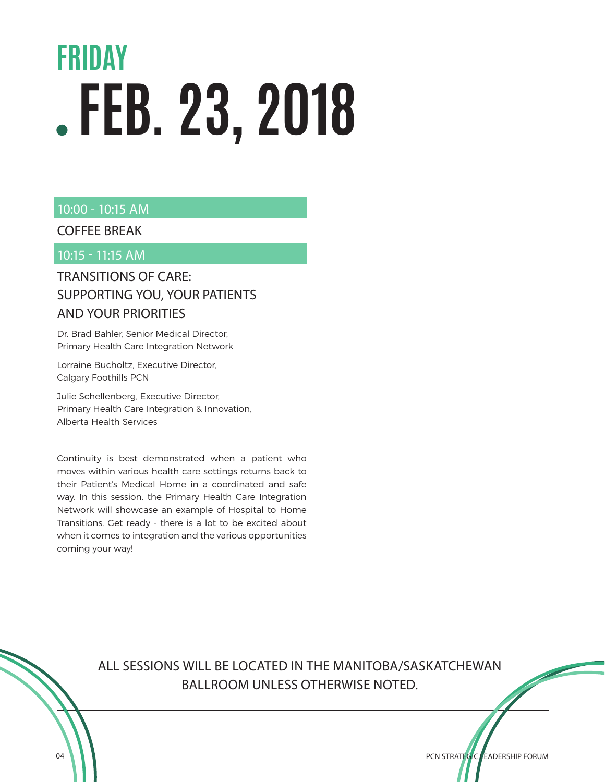### **FEB. 23, 2018 FRIDAY**

#### 10:00 - 10:15 AM

#### COFFEE BREAK

#### 10:15 - 11:15 AM

#### TRANSITIONS OF CARE: SUPPORTING YOU, YOUR PATIENTS AND YOUR PRIORITIES

Dr. Brad Bahler, Senior Medical Director, Primary Health Care Integration Network

Lorraine Bucholtz, Executive Director, Calgary Foothills PCN

Julie Schellenberg, Executive Director, Primary Health Care Integration & Innovation, Alberta Health Services

Continuity is best demonstrated when a patient who moves within various health care settings returns back to their Patient's Medical Home in a coordinated and safe way. In this session, the Primary Health Care Integration Network will showcase an example of Hospital to Home Transitions. Get ready - there is a lot to be excited about when it comes to integration and the various opportunities coming your way!

> ALL SESSIONS WILL BE LOCATED IN THE MANITOBA/SASKATCHEWAN BALLROOM UNLESS OTHERWISE NOTED.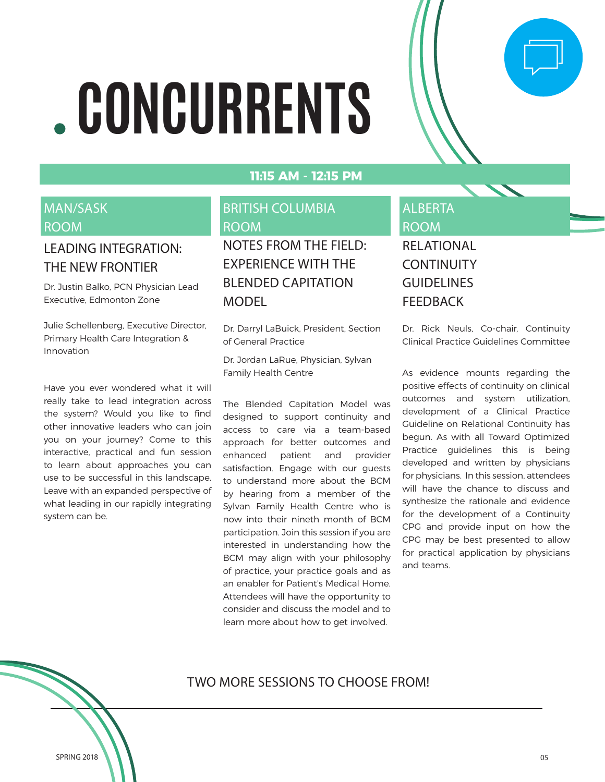# **CONCURRENTS**

#### **11:15 AM - 12:15 PM**

#### MAN/SASK ROOM

#### LEADING INTEGRATION: THE NEW FRONTIER

Dr. Justin Balko, PCN Physician Lead Executive, Edmonton Zone

Julie Schellenberg, Executive Director, Primary Health Care Integration & Innovation

Have you ever wondered what it will really take to lead integration across the system? Would you like to find other innovative leaders who can join you on your journey? Come to this interactive, practical and fun session to learn about approaches you can use to be successful in this landscape. Leave with an expanded perspective of what leading in our rapidly integrating system can be.

#### BRITISH COLUMBIA ROOM

NOTES FROM THE FIELD: EXPERIENCE WITH THE BLENDED CAPITATION MODEL

Dr. Darryl LaBuick, President, Section of General Practice

Dr. Jordan LaRue, Physician, Sylvan Family Health Centre

The Blended Capitation Model was designed to support continuity and access to care via a team-based approach for better outcomes and enhanced patient and provider satisfaction. Engage with our guests to understand more about the BCM by hearing from a member of the Sylvan Family Health Centre who is now into their nineth month of BCM participation. Join this session if you are interested in understanding how the BCM may align with your philosophy of practice, your practice goals and as an enabler for Patient's Medical Home. Attendees will have the opportunity to consider and discuss the model and to learn more about how to get involved.

#### ALBERTA ROOM RELATIONAL **CONTINUITY GUIDELINES**

FEEDBACK

Dr. Rick Neuls, Co-chair, Continuity Clinical Practice Guidelines Committee

 $\Box$ 

As evidence mounts regarding the positive effects of continuity on clinical outcomes and system utilization, development of a Clinical Practice Guideline on Relational Continuity has begun. As with all Toward Optimized Practice guidelines this is being developed and written by physicians for physicians. In this session, attendees will have the chance to discuss and synthesize the rationale and evidence for the development of a Continuity CPG and provide input on how the CPG may be best presented to allow for practical application by physicians and teams.

TWO MORE SESSIONS TO CHOOSE FROM!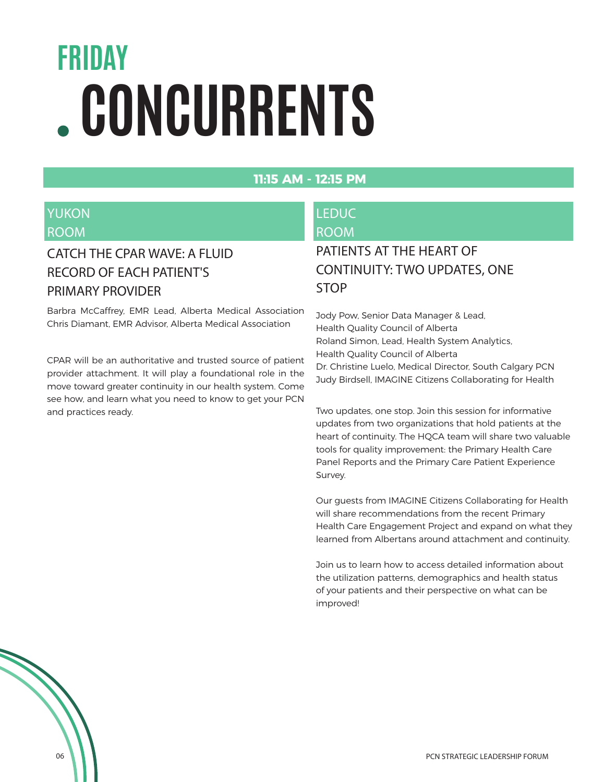### **FRIDAY CONCURRENTS**

#### **11:15 AM - 12:15 PM**

#### YUKON ROOM

#### CATCH THE CPAR WAVE: A FLUID RECORD OF EACH PATIENT'S PRIMARY PROVIDER

Barbra McCaffrey, EMR Lead, Alberta Medical Association Chris Diamant, EMR Advisor, Alberta Medical Association

CPAR will be an authoritative and trusted source of patient provider attachment. It will play a foundational role in the move toward greater continuity in our health system. Come see how, and learn what you need to know to get your PCN and practices ready.

#### LEDUC ROOM

#### PATIENTS AT THE HEART OF CONTINUITY: TWO UPDATES, ONE STOP

Jody Pow, Senior Data Manager & Lead, Health Quality Council of Alberta Roland Simon, Lead, Health System Analytics, Health Quality Council of Alberta Dr. Christine Luelo, Medical Director, South Calgary PCN Judy Birdsell, IMAGINE Citizens Collaborating for Health

Two updates, one stop. Join this session for informative updates from two organizations that hold patients at the heart of continuity. The HQCA team will share two valuable tools for quality improvement: the Primary Health Care Panel Reports and the Primary Care Patient Experience Survey.

Our guests from IMAGINE Citizens Collaborating for Health will share recommendations from the recent Primary Health Care Engagement Project and expand on what they learned from Albertans around attachment and continuity.

Join us to learn how to access detailed information about the utilization patterns, demographics and health status of your patients and their perspective on what can be improved!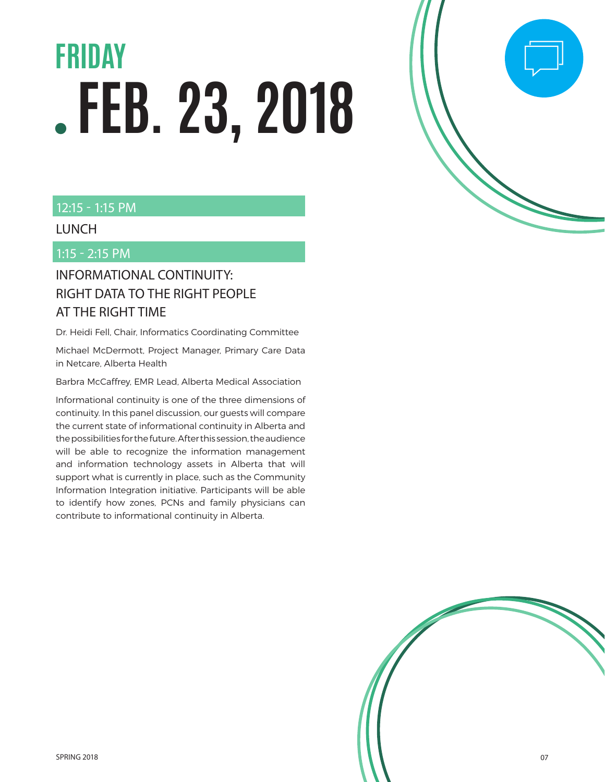## **FEB. 23, 2018 FRIDAY**

#### 12:15 - 1:15 PM

#### LUNCH

1:15 - 2:15 PM

#### INFORMATIONAL CONTINUITY: RIGHT DATA TO THE RIGHT PEOPLE AT THE RIGHT TIME

Dr. Heidi Fell, Chair, Informatics Coordinating Committee

Michael McDermott, Project Manager, Primary Care Data in Netcare, Alberta Health

Barbra McCaffrey, EMR Lead, Alberta Medical Association

Informational continuity is one of the three dimensions of continuity. In this panel discussion, our guests will compare the current state of informational continuity in Alberta and the possibilities for the future. After this session, the audience will be able to recognize the information management and information technology assets in Alberta that will support what is currently in place, such as the Community Information Integration initiative. Participants will be able to identify how zones, PCNs and family physicians can contribute to informational continuity in Alberta.



 $\Box$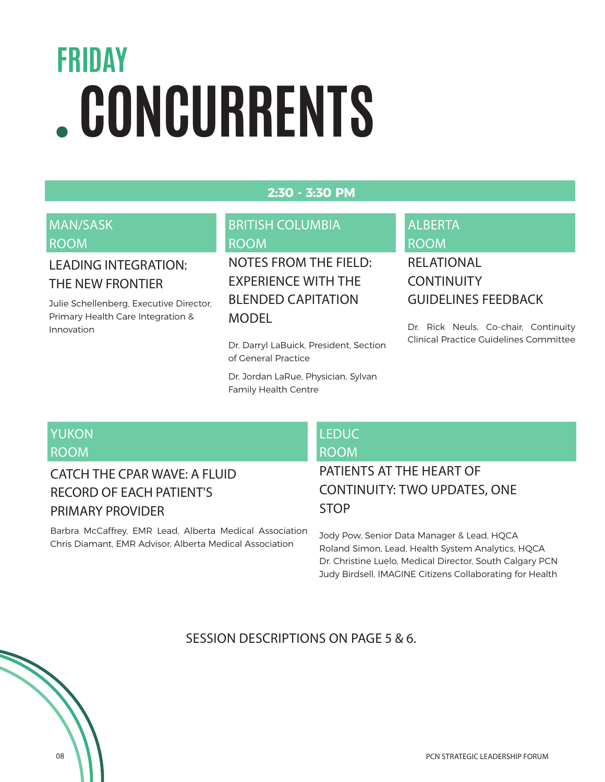### **CONCURRENTS FRIDAY**

#### **2:30 - 3:30 PM**

#### MAN/SASK ROOM

#### LEADING INTEGRATION: THE NEW FRONTIER

Julie Schellenberg, Executive Director, Primary Health Care Integration & Innovation

#### BRITISH COLUMBIA ROOM

NOTES FROM THE FIELD: EXPERIENCE WITH THE BLENDED CAPITATION **MODEL** 

Dr. Darryl LaBuick, President, Section of General Practice

Dr. Jordan LaRue, Physician, Sylvan Family Health Centre

#### ALBERTA ROOM RELATIONAL

### **CONTINUITY** GUIDELINES FEEDBACK

Dr. Rick Neuls, Co-chair, Continuity Clinical Practice Guidelines Committee

#### YUKON ROOM

#### CATCH THE CPAR WAVE: A FLUID RECORD OF EACH PATIENT'S PRIMARY PROVIDER

Barbra McCaffrey, EMR Lead, Alberta Medical Association Chris Diamant, EMR Advisor, Alberta Medical Association

#### LEDUC ROOM

#### PATIENTS AT THE HEART OF CONTINUITY: TWO UPDATES, ONE STOP

Jody Pow, Senior Data Manager & Lead, HQCA Roland Simon, Lead, Health System Analytics, HQCA Dr. Christine Luelo, Medical Director, South Calgary PCN Judy Birdsell, IMAGINE Citizens Collaborating for Health

SESSION DESCRIPTIONS ON PAGE 5 & 6.

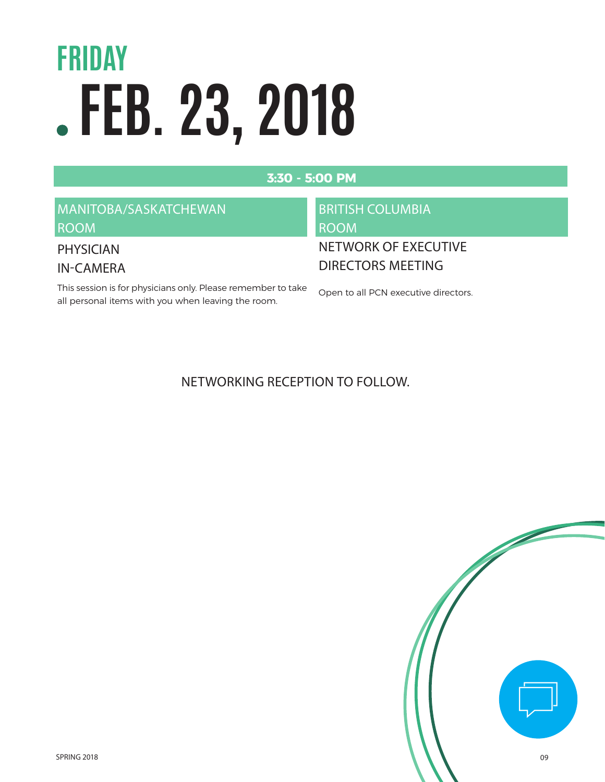## **FEB. 23, 2018 FRIDAY**

#### **3:30 - 5:00 PM**

#### MANITOBA/SASKATCHEWAN ROOM

#### PHYSICIAN

IN-CAMERA

This session is for physicians only. Please remember to take all personal items with you when leaving the room.

### BRITISH COLUMBIA ROOM

#### NETWORK OF EXECUTIVE DIRECTORS MEETING

Open to all PCN executive directors.

#### NETWORKING RECEPTION TO FOLLOW.

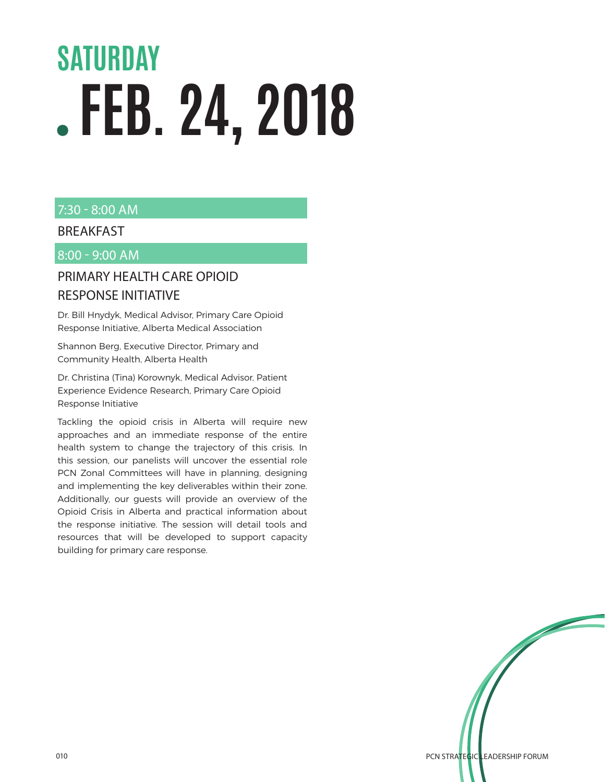## **FEB. 24, 2018 SATURDAY**

#### 7:30 - 8:00 AM

#### **BREAKFAST**

#### 8:00 - 9:00 AM

#### PRIMARY HEALTH CARE OPIOID RESPONSE INITIATIVE

Dr. Bill Hnydyk, Medical Advisor, Primary Care Opioid Response Initiative, Alberta Medical Association

Shannon Berg, Executive Director, Primary and Community Health, Alberta Health

Dr. Christina (Tina) Korownyk, Medical Advisor, Patient Experience Evidence Research, Primary Care Opioid Response Initiative

Tackling the opioid crisis in Alberta will require new approaches and an immediate response of the entire health system to change the trajectory of this crisis. In this session, our panelists will uncover the essential role PCN Zonal Committees will have in planning, designing and implementing the key deliverables within their zone. Additionally, our guests will provide an overview of the Opioid Crisis in Alberta and practical information about the response initiative. The session will detail tools and resources that will be developed to support capacity building for primary care response.

on the control of the control of the control of the control of the control of the control of the control of the control of the control of the control of the control of the control of the control of the control of the contr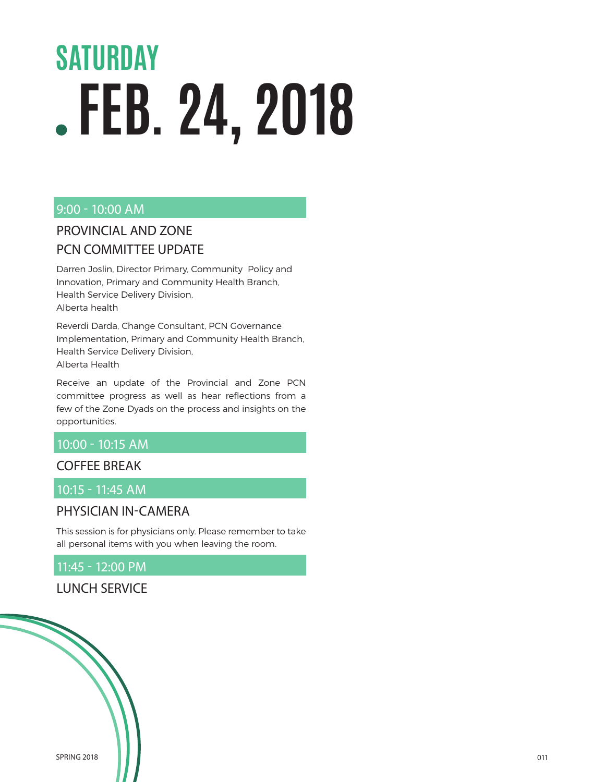## **FEB. 24, 2018 SATURDAY**

#### 9:00 - 10:00 AM

#### PROVINCIAL AND ZONE PCN COMMITTEE UPDATE

Darren Joslin, Director Primary, Community Policy and Innovation, Primary and Community Health Branch, Health Service Delivery Division, Alberta health

Reverdi Darda, Change Consultant, PCN Governance Implementation, Primary and Community Health Branch, Health Service Delivery Division, Alberta Health

Receive an update of the Provincial and Zone PCN committee progress as well as hear reflections from a few of the Zone Dyads on the process and insights on the opportunities.

#### 10:00 - 10:15 AM

#### COFFEE BREAK

#### 10:15 - 11:45 AM

#### PHYSICIAN IN-CAMERA

This session is for physicians only. Please remember to take all personal items with you when leaving the room.

#### 11:45 - 12:00 PM

#### LUNCH SERVICE

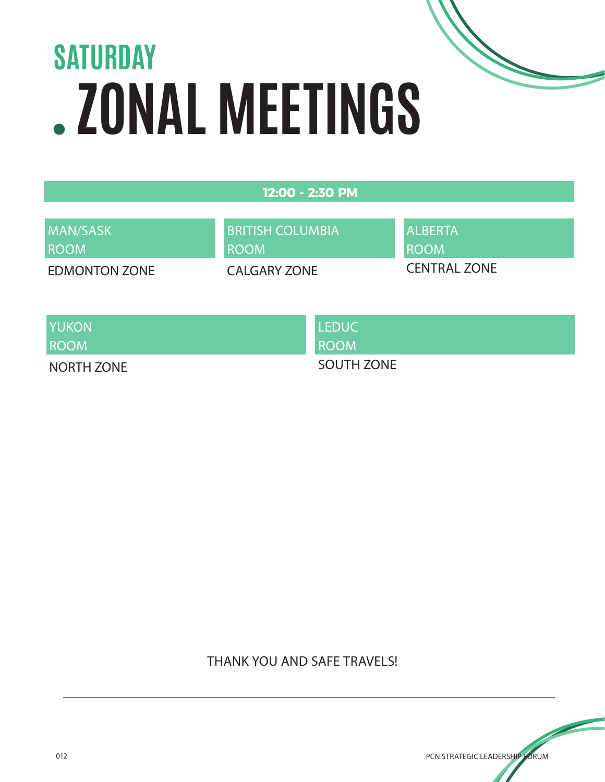## **ZONAL MEETINGS SATURDAY**

| 12:00 - 2:30 PM |  |
|-----------------|--|
|                 |  |

| MAN/SASK    |  |
|-------------|--|
| <b>ROOM</b> |  |

BRITISH COLUMBIA ROOM

EDMONTON ZONE

CALGARY ZONE

ALBERTA ROOM CENTRAL ZONE

YUKON

ROOM

NORTH ZONE

LEDUC ROOM

SOUTH ZONE

THANK YOU AND SAFE TRAVELS!